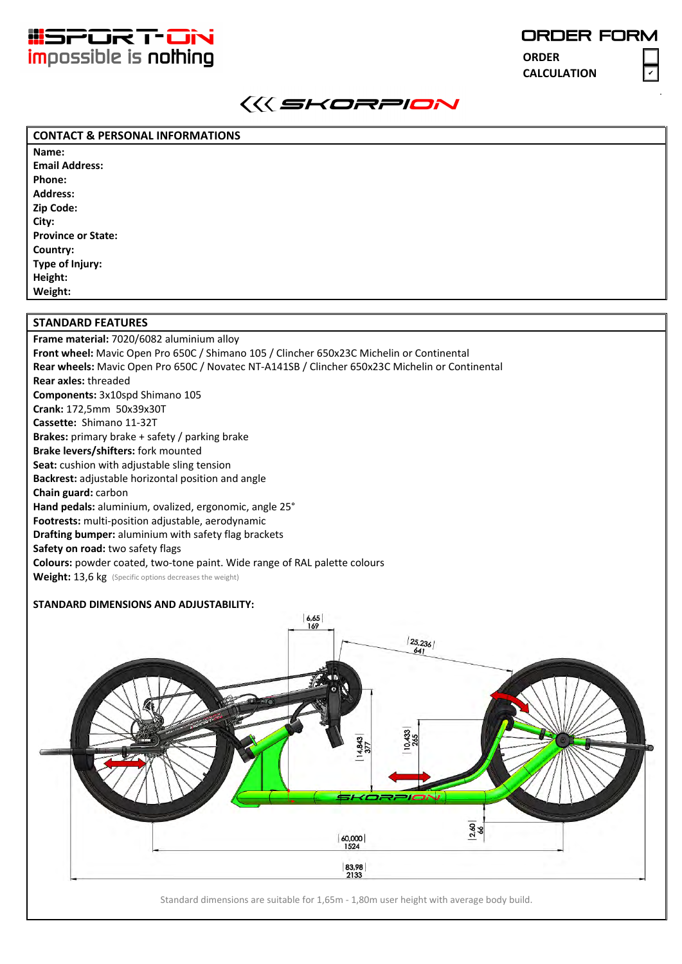

✔

**ORDER CALCULATION**



## **CONTACT & PERSONAL INFORMATIONS**

**Name: Email Address: Phone: Address: Zip Code: City: Province or State: Country: Type of Injury: Height: Weight:**

## **STANDARD FEATURES**

**Frame material:** 7020/6082 aluminium alloy **Front wheel:** Mavic Open Pro 650C / Shimano 105 / Clincher 650x23C Michelin or Continental **Rear wheels:** Mavic Open Pro 650C / Novatec NT-A141SB / Clincher 650x23C Michelin or Continental **Rear axles:** threaded **Components:** 3x10spd Shimano 105 **Crank:** 172,5mm 50x39x30T **Cassette:** Shimano 11-32T **Brakes:** primary brake + safety / parking brake **Brake levers/shifters:** fork mounted **Seat:** cushion with adjustable sling tension **Backrest:** adjustable horizontal position and angle **Chain guard:** carbon **Hand pedals:** aluminium, ovalized, ergonomic, angle 25° **Footrests:** multi-position adjustable, aerodynamic **Drafting bumper:** aluminium with safety flag brackets **Safety on road:** two safety flags **Colours:** powder coated, two-tone paint. Wide range of RAL palette colours Weight: 13,6 kg (Specific options decreases the weight)

## **STANDARD DIMENSIONS AND ADJUSTABILITY:**



Standard dimensions are suitable for 1,65m - 1,80m user height with average body build.